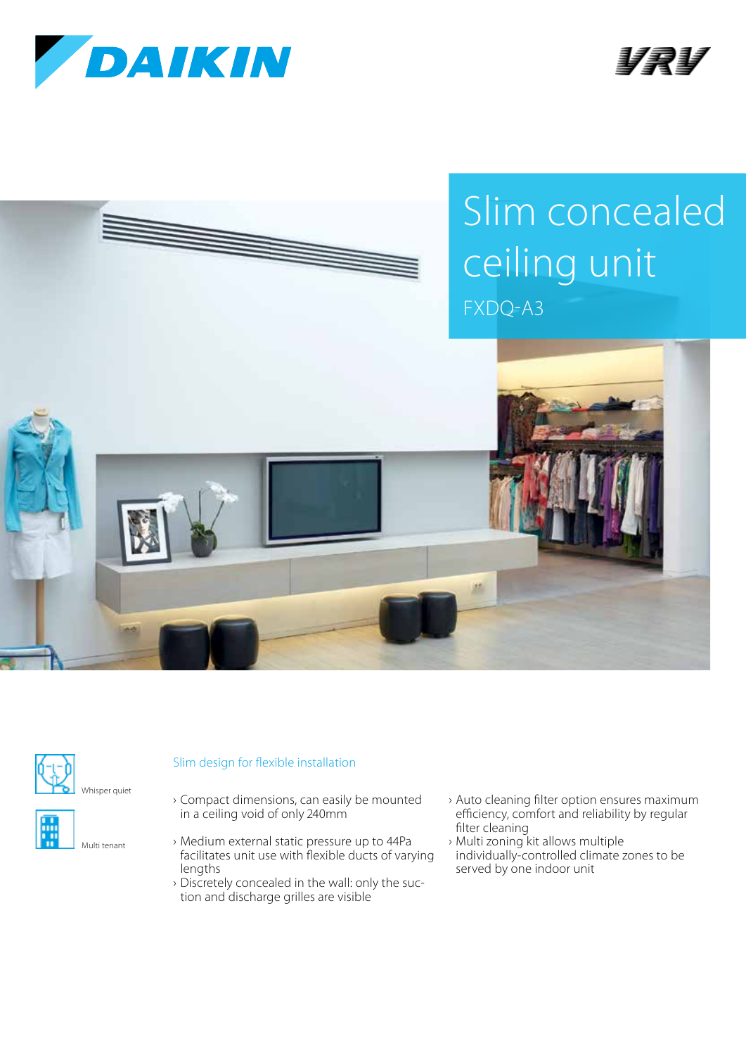







Multi tenant

## Slim design for flexible installation

- › Compact dimensions, can easily be mounted in a ceiling void of only 240mm
- › Medium external static pressure up to 44Pa facilitates unit use with flexible ducts of varying lengths
- › Discretely concealed in the wall: only the suction and discharge grilles are visible
- › Auto cleaning filter option ensures maximum efficiency, comfort and reliability by regular filter cleaning
- › Multi zoning kit allows multiple individually-controlled climate zones to be served by one indoor unit